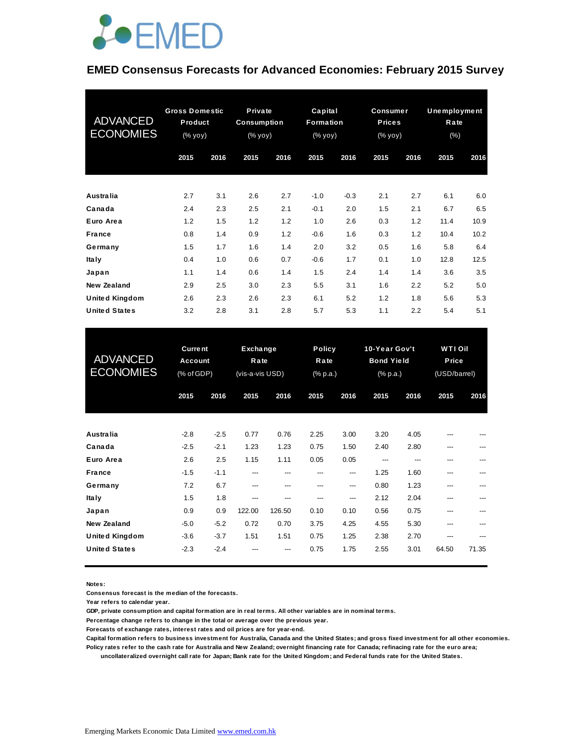

## **EMED Consensus Forecasts for Advanced Economies: February 2015 Survey**

| <b>ADVANCED</b><br><b>ECONOMIES</b> | <b>Gross Domestic</b><br>Product<br>(% yoy) |      | Private<br>Consumption<br>(% yoy) |      | Capital<br>Formation<br>(% yoy) |        | <b>Consumer</b><br><b>Prices</b><br>(% yoy) |      | Unemployment<br>Rate<br>(% ) |      |
|-------------------------------------|---------------------------------------------|------|-----------------------------------|------|---------------------------------|--------|---------------------------------------------|------|------------------------------|------|
|                                     | 2015                                        | 2016 | 2015                              | 2016 | 2015                            | 2016   | 2015                                        | 2016 | 2015                         | 2016 |
| Australia                           | 2.7                                         | 3.1  | 2.6                               | 2.7  | $-1.0$                          | $-0.3$ | 2.1                                         | 2.7  | 6.1                          | 6.0  |
| Canada                              | 2.4                                         | 2.3  | 2.5                               | 2.1  | $-0.1$                          | 2.0    | 1.5                                         | 2.1  | 6.7                          | 6.5  |
| Euro Area                           | 1.2                                         | 1.5  | 1.2                               | 1.2  | 1.0                             | 2.6    | 0.3                                         | 1.2  | 11.4                         | 10.9 |
| <b>France</b>                       | 0.8                                         | 1.4  | 0.9                               | 1.2  | $-0.6$                          | 1.6    | 0.3                                         | 1.2  | 10.4                         | 10.2 |
| Germany                             | 1.5                                         | 1.7  | 1.6                               | 1.4  | 2.0                             | 3.2    | 0.5                                         | 1.6  | 5.8                          | 6.4  |
| <b>Italy</b>                        | 0.4                                         | 1.0  | 0.6                               | 0.7  | $-0.6$                          | 1.7    | 0.1                                         | 1.0  | 12.8                         | 12.5 |
| Japan                               | 1.1                                         | 1.4  | 0.6                               | 1.4  | 1.5                             | 2.4    | 1.4                                         | 1.4  | 3.6                          | 3.5  |
| New Zealand                         | 2.9                                         | 2.5  | 3.0                               | 2.3  | 5.5                             | 3.1    | 1.6                                         | 2.2  | 5.2                          | 5.0  |
| <b>United Kingdom</b>               | 2.6                                         | 2.3  | 2.6                               | 2.3  | 6.1                             | 5.2    | 1.2                                         | 1.8  | 5.6                          | 5.3  |
| <b>United States</b>                | 3.2                                         | 2.8  | 3.1                               | 2.8  | 5.7                             | 5.3    | 1.1                                         | 2.2  | 5.4                          | 5.1  |

| <b>United States</b>                        | 3.2                                     | 2.8              | 3.1                                 | 2.8           | 5.7                        | 5.3          | 1.1                                                         | 2.2          | 5.4                                     | 5.1        |
|---------------------------------------------|-----------------------------------------|------------------|-------------------------------------|---------------|----------------------------|--------------|-------------------------------------------------------------|--------------|-----------------------------------------|------------|
| <b>ADVANCED</b><br><b>ECONOMIES</b>         | <b>Current</b><br>Account<br>(% of GDP) |                  | Exchange<br>Rate<br>(vis-a-vis USD) |               | Policy<br>Rate<br>(% p.a.) |              | 10-Year Gov't<br><b>Bond Yield</b><br>$(% )^{(1)}$ (% p.a.) |              | <b>WTI Oil</b><br>Price<br>(USD/barrel) |            |
|                                             | 2015                                    | 2016             | 2015                                | 2016          | 2015                       | 2016         | 2015                                                        | 2016         | 2015                                    | 2016       |
| Australia                                   | $-2.8$                                  | $-2.5$           | 0.77                                | 0.76          | 2.25                       | 3.00         | 3.20                                                        | 4.05         |                                         |            |
| Canada<br>Euro Area                         | $-2.5$<br>2.6                           | $-2.1$<br>2.5    | 1.23<br>1.15                        | 1.23<br>1.11  | 0.75<br>0.05               | 1.50<br>0.05 | 2.40<br>---                                                 | 2.80<br>---  | ---<br>---                              | ---        |
| <b>France</b><br>Germany                    | $-1.5$<br>7.2                           | $-1.1$<br>6.7    | ---<br>---                          | ---<br>---    | ---<br>$---$               | ---<br>---   | 1.25<br>0.80                                                | 1.60<br>1.23 | ---<br>---                              | ---        |
| <b>Italy</b><br>Japan                       | 1.5<br>0.9                              | 1.8<br>0.9       | ---<br>122.00                       | ---<br>126.50 | ---<br>0.10                | ---<br>0.10  | 2.12<br>0.56                                                | 2.04<br>0.75 | $---$<br>---                            | ---        |
| <b>New Zealand</b><br><b>United Kingdom</b> | $-5.0$<br>$-3.6$                        | $-5.2$<br>$-3.7$ | 0.72<br>1.51                        | 0.70<br>1.51  | 3.75<br>0.75               | 4.25<br>1.25 | 4.55<br>2.38                                                | 5.30<br>2.70 | $---$<br>$---$                          | ---<br>--- |
| <b>United States</b>                        | $-2.3$                                  | $-2.4$           |                                     |               | 0.75                       | 1.75         | 2.55                                                        | 3.01         | 64.50                                   | 71.35      |

**Notes:** 

**Consensus forecast is the median of the forecasts.**

**Year refers to calendar year.**

**GDP, private consumption and capital formation are in real terms. All other variables are in nominal terms.**

**Percentage change refers to change in the total or average over the previous year.**

**Forecasts of exchange rates, interest rates and oil prices are for year-end.**

**Capital formation refers to business investment for Australia, Canada and the United States; and gross fixed investment for all other economies. Policy rates refer to the cash rate for Australia and New Zealand; overnight financing rate for Canada; refinacing rate for the euro area;** 

 **uncollateralized overnight call rate for Japan; Bank rate for the United Kingdom; and Federal funds rate for the United States.**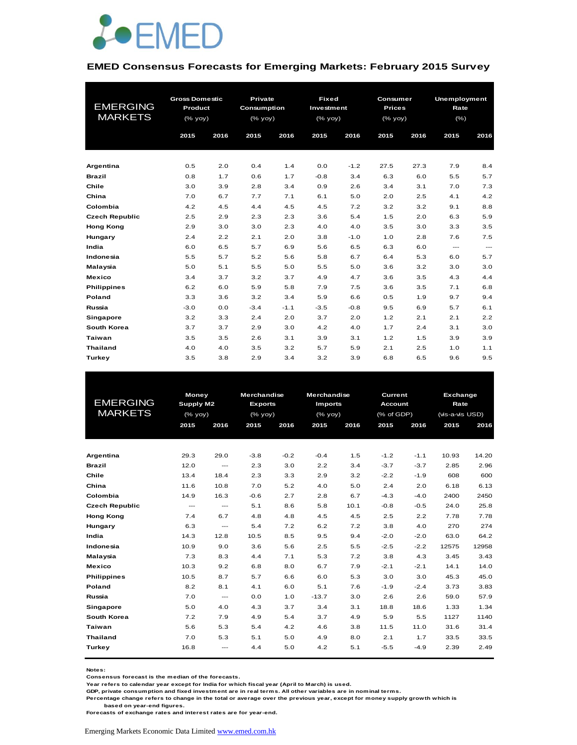

#### **EMED Consensus Forecasts for Emerging Markets: February 2015 Survey**

|                       | <b>Gross Domestic</b> |      | <b>Private</b> |        | <b>Fixed</b> |        | Consumer      |      | <b>Unemployment</b> |                        |
|-----------------------|-----------------------|------|----------------|--------|--------------|--------|---------------|------|---------------------|------------------------|
| <b>EMERGING</b>       | Product               |      | Consumption    |        | Investment   |        | <b>Prices</b> |      | Rate                |                        |
| <b>MARKETS</b>        | (% yoy)               |      | (% yoy)        |        | (% yoy)      |        | $(%$ (% yoy)  |      | $(\% )$             |                        |
|                       | 2015                  | 2016 | 2015           | 2016   | 2015         | 2016   | 2015          | 2016 | 2015                | 2016                   |
|                       |                       |      |                |        |              |        |               |      |                     |                        |
|                       |                       |      |                |        |              |        |               |      |                     |                        |
| Argentina             | 0.5                   | 2.0  | 0.4            | 1.4    | 0.0          | $-1.2$ | 27.5          | 27.3 | 7.9                 | 8.4                    |
| <b>Brazil</b>         | 0.8                   | 1.7  | 0.6            | 1.7    | $-0.8$       | 3.4    | 6.3           | 6.0  | 5.5                 | 5.7                    |
| Chile                 | 3.0                   | 3.9  | 2.8            | 3.4    | 0.9          | 2.6    | 3.4           | 3.1  | 7.0                 | 7.3                    |
| China                 | 7.0                   | 6.7  | 7.7            | 7.1    | 6.1          | 5.0    | 2.0           | 2.5  | 4.1                 | 4.2                    |
| Colombia              | 4.2                   | 4.5  | 4.4            | 4.5    | 4.5          | 7.2    | 3.2           | 3.2  | 9.1                 | 8.8                    |
| <b>Czech Republic</b> | 2.5                   | 2.9  | 2.3            | 2.3    | 3.6          | 5.4    | 1.5           | 2.0  | 6.3                 | 5.9                    |
| <b>Hong Kong</b>      | 2.9                   | 3.0  | 3.0            | 2.3    | 4.0          | 4.0    | 3.5           | 3.0  | 3.3                 | 3.5                    |
| Hungary               | 2.4                   | 2.2  | 2.1            | 2.0    | 3.8          | $-1.0$ | 1.0           | 2.8  | 7.6                 | 7.5                    |
| India                 | 6.0                   | 6.5  | 5.7            | 6.9    | 5.6          | 6.5    | 6.3           | 6.0  | $\cdots$            | $\qquad \qquad \cdots$ |
| Indonesia             | 5.5                   | 5.7  | 5.2            | 5.6    | 5.8          | 6.7    | 6.4           | 5.3  | 6.0                 | 5.7                    |
| Malaysia              | 5.0                   | 5.1  | 5.5            | 5.0    | 5.5          | 5.0    | 3.6           | 3.2  | 3.0                 | 3.0                    |
| <b>Mexico</b>         | 3.4                   | 3.7  | 3.2            | 3.7    | 4.9          | 4.7    | 3.6           | 3.5  | 4.3                 | 4.4                    |
| <b>Philippines</b>    | 6.2                   | 6.0  | 5.9            | 5.8    | 7.9          | 7.5    | 3.6           | 3.5  | 7.1                 | 6.8                    |
| Poland                | 3.3                   | 3.6  | 3.2            | 3.4    | 5.9          | 6.6    | 0.5           | 1.9  | 9.7                 | 9.4                    |
| Russia                | $-3.0$                | 0.0  | $-3.4$         | $-1.1$ | $-3.5$       | $-0.8$ | 9.5           | 6.9  | 5.7                 | 6.1                    |
| Singapore             | 3.2                   | 3.3  | 2.4            | 2.0    | 3.7          | 2.0    | 1.2           | 2.1  | 2.1                 | 2.2                    |
| South Korea           | 3.7                   | 3.7  | 2.9            | 3.0    | 4.2          | 4.0    | 1.7           | 2.4  | 3.1                 | 3.0                    |
| Taiwan                | 3.5                   | 3.5  | 2.6            | 3.1    | 3.9          | 3.1    | 1.2           | 1.5  | 3.9                 | 3.9                    |
| <b>Thailand</b>       | 4.0                   | 4.0  | 3.5            | 3.2    | 5.7          | 5.9    | 2.1           | 2.5  | 1.0                 | 1.1                    |
| Turkey                | 3.5                   | 3.8  | 2.9            | 3.4    | 3.2          | 3.9    | 6.8           | 6.5  | 9.6                 | 9.5                    |

|                       | Money                    |                          | <b>Merchandise</b> |              | <b>Merchandise</b> |      | Current        |        | <b>Exchange</b> |       |
|-----------------------|--------------------------|--------------------------|--------------------|--------------|--------------------|------|----------------|--------|-----------------|-------|
| <b>EMERGING</b>       | <b>Supply M2</b>         |                          | <b>Exports</b>     |              | <b>Imports</b>     |      | <b>Account</b> |        | Rate            |       |
| <b>MARKETS</b>        |                          | (% yoy)                  |                    | $(%$ (% yoy) | $(%$ (% yoy)       |      | (% of GDP)     |        | (vis-a-vis USD) |       |
|                       | 2015                     | 2016                     | 2015               | 2016         | 2015               | 2016 | 2015           | 2016   | 2015            | 2016  |
|                       |                          |                          |                    |              |                    |      |                |        |                 |       |
| Argentina             | 29.3                     | 29.0                     | $-3.8$             | $-0.2$       | $-0.4$             | 1.5  | $-1.2$         | $-1.1$ | 10.93           | 14.20 |
| <b>Brazil</b>         | 12.0                     | $\hspace{0.05cm} \ldots$ | 2.3                | 3.0          | 2.2                | 3.4  | $-3.7$         | $-3.7$ | 2.85            | 2.96  |
| Chile                 | 13.4                     | 18.4                     | 2.3                | 3.3          | 2.9                | 3.2  | $-2.2$         | $-1.9$ | 608             | 600   |
| China                 | 11.6                     | 10.8                     | 7.0                | 5.2          | 4.0                | 5.0  | 2.4            | 2.0    | 6.18            | 6.13  |
| Colombia              | 14.9                     | 16.3                     | $-0.6$             | 2.7          | 2.8                | 6.7  | $-4.3$         | $-4.0$ | 2400            | 2450  |
| <b>Czech Republic</b> | $\hspace{0.05cm} \ldots$ | $\hspace{0.05cm} \ldots$ | 5.1                | 8.6          | 5.8                | 10.1 | $-0.8$         | $-0.5$ | 24.0            | 25.8  |
| <b>Hong Kong</b>      | 7.4                      | 6.7                      | 4.8                | 4.8          | 4.5                | 4.5  | 2.5            | 2.2    | 7.78            | 7.78  |
| Hungary               | 6.3                      | ---                      | 5.4                | 7.2          | 6.2                | 7.2  | 3.8            | 4.0    | 270             | 274   |
| India                 | 14.3                     | 12.8                     | 10.5               | 8.5          | 9.5                | 9.4  | $-2.0$         | $-2.0$ | 63.0            | 64.2  |
| Indonesia             | 10.9                     | 9.0                      | 3.6                | 5.6          | 2.5                | 5.5  | $-2.5$         | $-2.2$ | 12575           | 12958 |
| Malaysia              | 7.3                      | 8.3                      | 4.4                | 7.1          | 5.3                | 7.2  | 3.8            | 4.3    | 3.45            | 3.43  |
| <b>Mexico</b>         | 10.3                     | 9.2                      | 6.8                | 8.0          | 6.7                | 7.9  | $-2.1$         | $-2.1$ | 14.1            | 14.0  |
| <b>Philippines</b>    | 10.5                     | 8.7                      | 5.7                | 6.6          | 6.0                | 5.3  | 3.0            | 3.0    | 45.3            | 45.0  |
| Poland                | 8.2                      | 8.1                      | 4.1                | 6.0          | 5.1                | 7.6  | $-1.9$         | $-2.4$ | 3.73            | 3.83  |
| Russia                | 7.0                      | $\overline{a}$           | 0.0                | 1.0          | $-13.7$            | 3.0  | 2.6            | 2.6    | 59.0            | 57.9  |
| Singapore             | 5.0                      | 4.0                      | 4.3                | 3.7          | 3.4                | 3.1  | 18.8           | 18.6   | 1.33            | 1.34  |
| South Korea           | 7.2                      | 7.9                      | 4.9                | 5.4          | 3.7                | 4.9  | 5.9            | 5.5    | 1127            | 1140  |
| <b>Taiwan</b>         | 5.6                      | 5.3                      | 5.4                | 4.2          | 4.6                | 3.8  | 11.5           | 11.0   | 31.6            | 31.4  |
| <b>Thailand</b>       | 7.0                      | 5.3                      | 5.1                | 5.0          | 4.9                | 8.0  | 2.1            | 1.7    | 33.5            | 33.5  |
| Turkey                | 16.8                     | ---                      | 4.4                | 5.0          | 4.2                | 5.1  | $-5.5$         | $-4.9$ | 2.39            | 2.49  |
|                       |                          |                          |                    |              |                    |      |                |        |                 |       |

**Notes:** 

**Consensus forecast is the median of the forecasts.**

**Year refers to calendar year except for India for which fiscal year (April to March) is used. GDP, private consumption and fixed investment are in real terms. All other variables are in nominal terms.**

**Percentage change refers to change in the total or average over the previous year, except for money supply growth which is based on year-end figures.**

**Forecasts of exchange rates and interest rates are for year-end.**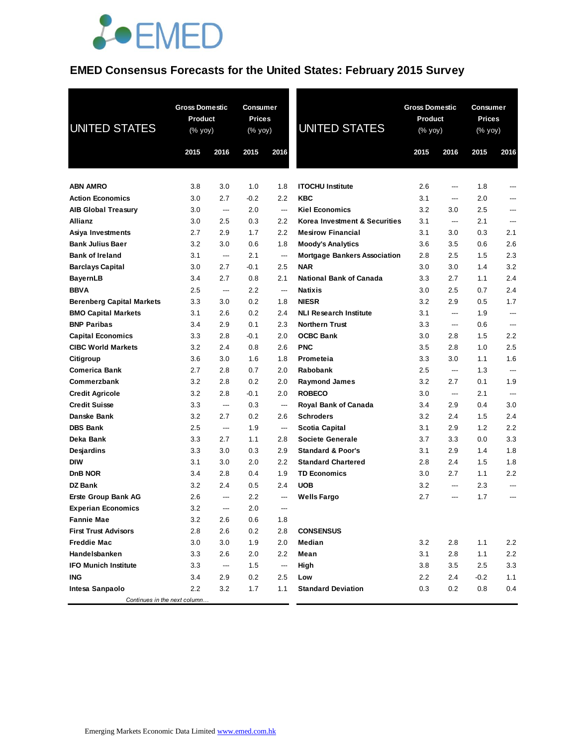

# **EMED Consensus Forecasts for the United States: February 2015 Survey**

| <b>UNITED STATES</b>             | <b>Gross Domestic</b><br><b>Product</b><br>$(% \mathsf{Y}^{\prime }\mathsf{Y}^{\prime })$ (% $\mathsf{Y}^{\prime }\mathsf{Y}^{\prime })$ |      | <b>Consumer</b><br>Prices<br>(% yoy) |                          | <b>UNITED STATES</b>                |      | <b>Gross Domestic</b><br>Product<br>(% yoy) |        | Consumer<br><b>Prices</b><br>(% yoy) |
|----------------------------------|------------------------------------------------------------------------------------------------------------------------------------------|------|--------------------------------------|--------------------------|-------------------------------------|------|---------------------------------------------|--------|--------------------------------------|
|                                  | 2015                                                                                                                                     | 2016 | 2015                                 | 2016                     |                                     | 2015 | 2016                                        | 2015   | 2016                                 |
|                                  |                                                                                                                                          |      |                                      |                          |                                     |      |                                             |        |                                      |
| <b>ABN AMRO</b>                  | 3.8                                                                                                                                      | 3.0  | 1.0                                  | 1.8                      | <b>ITOCHU Institute</b>             | 2.6  | ---                                         | 1.8    | ---                                  |
| <b>Action Economics</b>          | 3.0                                                                                                                                      | 2.7  | $-0.2$                               | 2.2                      | <b>KBC</b>                          | 3.1  | ---                                         | 2.0    |                                      |
| <b>AIB Global Treasury</b>       | 3.0                                                                                                                                      | ---  | 2.0                                  | ---                      | <b>Kiel Economics</b>               | 3.2  | 3.0                                         | 2.5    |                                      |
| <b>Allianz</b>                   | 3.0                                                                                                                                      | 2.5  | 0.3                                  | 2.2                      | Korea Investment & Securities       | 3.1  | ---                                         | 2.1    | ---                                  |
| Asiya Investments                | 2.7                                                                                                                                      | 2.9  | 1.7                                  | 2.2                      | <b>Mesirow Financial</b>            | 3.1  | 3.0                                         | 0.3    | 2.1                                  |
| <b>Bank Julius Baer</b>          | 3.2                                                                                                                                      | 3.0  | 0.6                                  | 1.8                      | <b>Moody's Analytics</b>            | 3.6  | 3.5                                         | 0.6    | 2.6                                  |
| <b>Bank of Ireland</b>           | 3.1                                                                                                                                      | ---  | 2.1                                  | $\hspace{0.05cm} \ldots$ | <b>Mortgage Bankers Association</b> | 2.8  | 2.5                                         | 1.5    | 2.3                                  |
| <b>Barclays Capital</b>          | 3.0                                                                                                                                      | 2.7  | $-0.1$                               | 2.5                      | <b>NAR</b>                          | 3.0  | 3.0                                         | 1.4    | 3.2                                  |
| <b>BayernLB</b>                  | 3.4                                                                                                                                      | 2.7  | 0.8                                  | 2.1                      | <b>National Bank of Canada</b>      | 3.3  | 2.7                                         | 1.1    | 2.4                                  |
| <b>BBVA</b>                      | 2.5                                                                                                                                      | ---  | 2.2                                  | ---                      | <b>Natixis</b>                      | 3.0  | 2.5                                         | 0.7    | 2.4                                  |
| <b>Berenberg Capital Markets</b> | 3.3                                                                                                                                      | 3.0  | 0.2                                  | 1.8                      | <b>NIESR</b>                        | 3.2  | 2.9                                         | 0.5    | 1.7                                  |
| <b>BMO Capital Markets</b>       | 3.1                                                                                                                                      | 2.6  | 0.2                                  | 2.4                      | <b>NLI Research Institute</b>       | 3.1  | ---                                         | 1.9    | ---                                  |
| <b>BNP Paribas</b>               | 3.4                                                                                                                                      | 2.9  | 0.1                                  | 2.3                      | <b>Northern Trust</b>               | 3.3  | ---                                         | 0.6    | ---                                  |
| <b>Capital Economics</b>         | 3.3                                                                                                                                      | 2.8  | $-0.1$                               | 2.0                      | <b>OCBC Bank</b>                    | 3.0  | 2.8                                         | 1.5    | 2.2                                  |
| <b>CIBC World Markets</b>        | 3.2                                                                                                                                      | 2.4  | 0.8                                  | 2.6                      | <b>PNC</b>                          | 3.5  | 2.8                                         | 1.0    | 2.5                                  |
| Citigroup                        | 3.6                                                                                                                                      | 3.0  | 1.6                                  | 1.8                      | Prometeia                           | 3.3  | 3.0                                         | 1.1    | 1.6                                  |
| <b>Comerica Bank</b>             | 2.7                                                                                                                                      | 2.8  | 0.7                                  | 2.0                      | Rabobank                            | 2.5  | ---                                         | 1.3    | ---                                  |
| Commerzbank                      | 3.2                                                                                                                                      | 2.8  | 0.2                                  | 2.0                      | <b>Raymond James</b>                | 3.2  | 2.7                                         | 0.1    | 1.9                                  |
| <b>Credit Agricole</b>           | 3.2                                                                                                                                      | 2.8  | $-0.1$                               | 2.0                      | <b>ROBECO</b>                       | 3.0  | ---                                         | 2.1    | ---                                  |
| <b>Credit Suisse</b>             | 3.3                                                                                                                                      | ---  | 0.3                                  | ---                      | Royal Bank of Canada                | 3.4  | 2.9                                         | 0.4    | 3.0                                  |
| <b>Danske Bank</b>               | 3.2                                                                                                                                      | 2.7  | 0.2                                  | 2.6                      | <b>Schroders</b>                    | 3.2  | 2.4                                         | 1.5    | 2.4                                  |
| <b>DBS Bank</b>                  | 2.5                                                                                                                                      | ---  | 1.9                                  | ---                      | Scotia Capital                      | 3.1  | 2.9                                         | 1.2    | 2.2                                  |
| Deka Bank                        | 3.3                                                                                                                                      | 2.7  | 1.1                                  | 2.8                      | <b>Societe Generale</b>             | 3.7  | 3.3                                         | 0.0    | 3.3                                  |
| Desjardins                       | 3.3                                                                                                                                      | 3.0  | 0.3                                  | 2.9                      | <b>Standard &amp; Poor's</b>        | 3.1  | 2.9                                         | 1.4    | 1.8                                  |
| <b>DIW</b>                       | 3.1                                                                                                                                      | 3.0  | 2.0                                  | 2.2                      | <b>Standard Chartered</b>           | 2.8  | 2.4                                         | 1.5    | 1.8                                  |
| <b>DnB NOR</b>                   | 3.4                                                                                                                                      | 2.8  | 0.4                                  | 1.9                      | <b>TD Economics</b>                 | 3.0  | 2.7                                         | 1.1    | 2.2                                  |
| DZ Bank                          | 3.2                                                                                                                                      | 2.4  | 0.5                                  | 2.4                      | <b>UOB</b>                          | 3.2  | ---                                         | 2.3    |                                      |
| Erste Group Bank AG              | 2.6                                                                                                                                      | ---  | 2.2                                  | ---                      | <b>Wells Fargo</b>                  | 2.7  | $\overline{a}$                              | 1.7    | ---                                  |
| <b>Experian Economics</b>        | 3.2                                                                                                                                      | ---  | 2.0                                  | ---                      |                                     |      |                                             |        |                                      |
| <b>Fannie Mae</b>                | 3.2                                                                                                                                      | 2.6  | 0.6                                  | 1.8                      |                                     |      |                                             |        |                                      |
| <b>First Trust Advisors</b>      | 2.8                                                                                                                                      | 2.6  | 0.2                                  | 2.8                      | <b>CONSENSUS</b>                    |      |                                             |        |                                      |
| <b>Freddie Mac</b>               | 3.0                                                                                                                                      | 3.0  | 1.9                                  | 2.0                      | Median                              | 3.2  | 2.8                                         | 1.1    | 2.2                                  |
| Handelsbanken                    | 3.3                                                                                                                                      | 2.6  | 2.0                                  | 2.2                      | Mean                                | 3.1  | 2.8                                         | 1.1    | 2.2                                  |
| <b>IFO Munich Institute</b>      | 3.3                                                                                                                                      | ---  | 1.5                                  | ---                      | High                                | 3.8  | 3.5                                         | 2.5    | 3.3                                  |
| <b>ING</b>                       | 3.4                                                                                                                                      | 2.9  | 0.2                                  | 2.5                      | Low                                 | 2.2  | 2.4                                         | $-0.2$ | 1.1                                  |
| Intesa Sanpaolo                  | $2.2\phantom{0}$                                                                                                                         | 3.2  | 1.7                                  | 1.1                      | <b>Standard Deviation</b>           | 0.3  | 0.2                                         | 0.8    | 0.4                                  |
| Continues in the next column     |                                                                                                                                          |      |                                      |                          |                                     |      |                                             |        |                                      |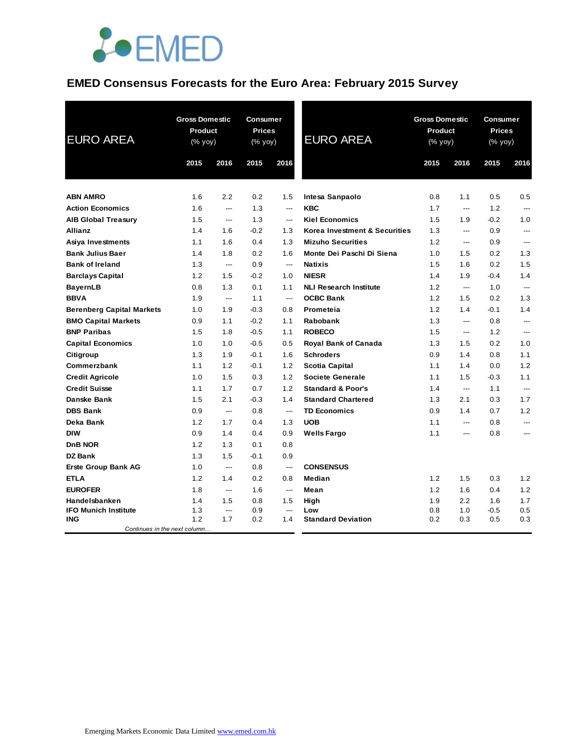

## **EMED Consensus Forecasts for the Euro Area: February 2015 Survey**

| <b>EURO AREA</b>                           | Product<br>(% yoy) | <b>Gross Domestic</b>    | <b>Consumer</b><br><b>Prices</b><br>(% yoy) |                          | <b>EURO AREA</b>              | <b>Gross Domestic</b><br><b>Product</b><br>(% yoy) |                          | Consumer<br><b>Prices</b><br>(% yoy) |                |
|--------------------------------------------|--------------------|--------------------------|---------------------------------------------|--------------------------|-------------------------------|----------------------------------------------------|--------------------------|--------------------------------------|----------------|
|                                            | 2015               | 2016                     | 2015                                        | 2016                     |                               | 2015                                               | 2016                     | 2015                                 | 2016           |
| <b>ABN AMRO</b>                            | 1.6                | 2.2                      | 0.2                                         | 1.5                      | Intesa Sanpaolo               | 0.8                                                | 1.1                      | 0.5                                  | 0.5            |
| <b>Action Economics</b>                    | 1.6                | ---                      | 1.3                                         | ---                      | <b>KBC</b>                    | 1.7                                                | ---                      | 1.2                                  | ---            |
| <b>AIB Global Treasury</b>                 | 1.5                | ---                      | 1.3                                         | $---$                    | <b>Kiel Economics</b>         | 1.5                                                | 1.9                      | $-0.2$                               | 1.0            |
| <b>Allianz</b>                             | 1.4                | 1.6                      | $-0.2$                                      | 1.3                      | Korea Investment & Securities | 1.3                                                | $\overline{\phantom{a}}$ | 0.9                                  | $\overline{a}$ |
| Asiya Investments                          | 1.1                | 1.6                      | 0.4                                         | 1.3                      | <b>Mizuho Securities</b>      | 1.2                                                | ---                      | 0.9                                  | ---            |
| <b>Bank Julius Baer</b>                    | 1.4                | 1.8                      | 0.2                                         | 1.6                      | Monte Dei Paschi Di Siena     | 1.0                                                | 1.5                      | 0.2                                  | 1.3            |
| <b>Bank of Ireland</b>                     | 1.3                | $---$                    | 0.9                                         | $\overline{\phantom{a}}$ | <b>Natixis</b>                | 1.5                                                | 1.6                      | 0.2                                  | 1.5            |
| <b>Barclays Capital</b>                    | 1.2                | 1.5                      | $-0.2$                                      | 1.0                      | <b>NIESR</b>                  | 1.4                                                | 1.9                      | $-0.4$                               | 1.4            |
| <b>BayernLB</b>                            | 0.8                | 1.3                      | 0.1                                         | 1.1                      | <b>NLI Research Institute</b> | 1.2                                                | $\overline{a}$           | 1.0                                  | $\overline{a}$ |
| <b>BBVA</b>                                | 1.9                | $---$                    | 1.1                                         | $\overline{\phantom{a}}$ | <b>OCBC Bank</b>              | 1.2                                                | 1.5                      | 0.2                                  | 1.3            |
| <b>Berenberg Capital Markets</b>           | 1.0                | 1.9                      | $-0.3$                                      | 0.8                      | Prometeia                     | 1.2                                                | 1.4                      | $-0.1$                               | 1.4            |
| <b>BMO Capital Markets</b>                 | 0.9                | 1.1                      | $-0.2$                                      | 1.1                      | Rabobank                      | 1.3                                                | ---                      | 0.8                                  | ---            |
| <b>BNP Paribas</b>                         | 1.5                | 1.8                      | $-0.5$                                      | 1.1                      | <b>ROBECO</b>                 | 1.5                                                | ---                      | 1.2                                  | ---            |
| <b>Capital Economics</b>                   | 1.0                | 1.0                      | $-0.5$                                      | 0.5                      | Royal Bank of Canada          | 1.3                                                | 1.5                      | 0.2                                  | 1.0            |
| Citigroup                                  | 1.3                | 1.9                      | $-0.1$                                      | 1.6                      | <b>Schroders</b>              | 0.9                                                | 1.4                      | 0.8                                  | 1.1            |
| Commerzbank                                | 1.1                | 1.2                      | $-0.1$                                      | 1.2                      | <b>Scotia Capital</b>         | 1.1                                                | 1.4                      | 0.0                                  | 1.2            |
| <b>Credit Agricole</b>                     | 1.0                | 1.5                      | 0.3                                         | 1.2                      | <b>Societe Generale</b>       | 1.1                                                | 1.5                      | $-0.3$                               | 1.1            |
| <b>Credit Suisse</b>                       | 1.1                | 1.7                      | 0.7                                         | 1.2                      | <b>Standard &amp; Poor's</b>  | 1.4                                                | ---                      | 1.1                                  | ---            |
| <b>Danske Bank</b>                         | 1.5                | 2.1                      | $-0.3$                                      | 1.4                      | <b>Standard Chartered</b>     | 1.3                                                | 2.1                      | 0.3                                  | 1.7            |
| <b>DBS Bank</b>                            | 0.9                | $\overline{\phantom{a}}$ | 0.8                                         | $\overline{\phantom{a}}$ | <b>TD Economics</b>           | 0.9                                                | 1.4                      | 0.7                                  | 1.2            |
| Deka Bank                                  | 1.2                | 1.7                      | 0.4                                         | 1.3                      | <b>UOB</b>                    | 1.1                                                | ---                      | 0.8                                  | ---            |
| <b>DIW</b>                                 | 0.9                | 1.4                      | 0.4                                         | 0.9                      | <b>Wells Fargo</b>            | 1.1                                                | ---                      | 0.8                                  | ---            |
| DnB NOR                                    | 1.2                | 1.3                      | 0.1                                         | 0.8                      |                               |                                                    |                          |                                      |                |
| <b>DZ Bank</b>                             | 1.3                | 1.5                      | $-0.1$                                      | 0.9                      |                               |                                                    |                          |                                      |                |
| <b>Erste Group Bank AG</b>                 | 1.0                | ---                      | 0.8                                         | $\qquad \qquad \cdots$   | <b>CONSENSUS</b>              |                                                    |                          |                                      |                |
| <b>ETLA</b>                                | 1.2                | 1.4                      | 0.2                                         | 0.8                      | Median                        | 1.2                                                | 1.5                      | 0.3                                  | 1.2            |
| <b>EUROFER</b>                             | 1.8                | $\overline{a}$           | 1.6                                         | $\overline{\phantom{a}}$ | Mean                          | 1.2                                                | 1.6                      | 0.4                                  | 1.2            |
| Handelsbanken                              | 1.4                | 1.5                      | 0.8                                         | 1.5                      | High                          | 1.9                                                | 2.2                      | 1.6                                  | 1.7            |
| <b>IFO Munich Institute</b>                | 1.3                | ---                      | 0.9                                         | $---$                    | Low                           | 0.8                                                | 1.0                      | $-0.5$                               | 0.5            |
| <b>ING</b><br>Continues in the next column | 1.2                | 1.7                      | 0.2                                         | 1.4                      | <b>Standard Deviation</b>     | 0.2                                                | 0.3                      | 0.5                                  | 0.3            |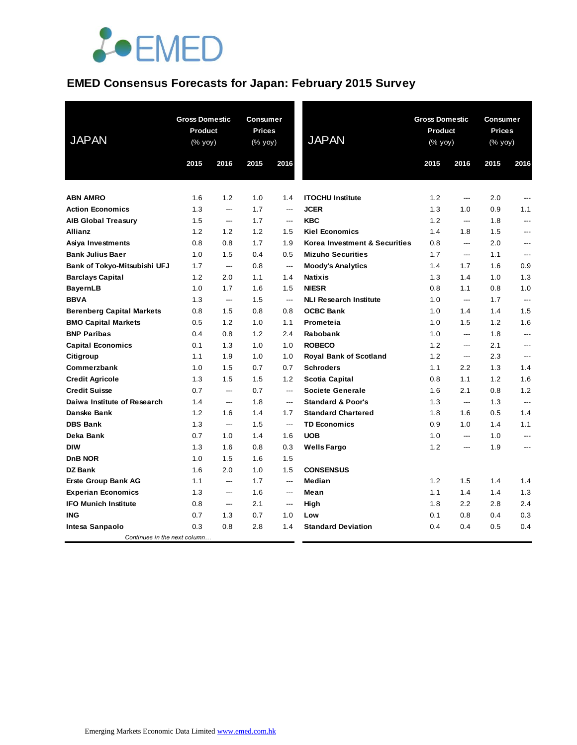

## **EMED Consensus Forecasts for Japan: February 2015 Survey**

| <b>JAPAN</b>                     |      | <b>Gross Domestic</b><br><b>Consumer</b><br><b>Prices</b><br><b>Product</b><br>(% yoy)<br>(% yoy) |      |                          | <b>JAPAN</b>                  | <b>Gross Domestic</b><br><b>Product</b><br>(% yoy) |                | Consumer<br><b>Prices</b><br>(% yoy) |                |
|----------------------------------|------|---------------------------------------------------------------------------------------------------|------|--------------------------|-------------------------------|----------------------------------------------------|----------------|--------------------------------------|----------------|
|                                  | 2015 | 2016                                                                                              | 2015 | 2016                     |                               | 2015                                               | 2016           | 2015                                 | 2016           |
| <b>ABN AMRO</b>                  | 1.6  | 1.2                                                                                               | 1.0  | 1.4                      | <b>ITOCHU Institute</b>       | 1.2                                                | ---            | 2.0                                  | ---            |
| <b>Action Economics</b>          | 1.3  | $---$                                                                                             | 1.7  | $\overline{a}$           | <b>JCER</b>                   | 1.3                                                | 1.0            | 0.9                                  | 1.1            |
| <b>AIB Global Treasury</b>       | 1.5  | $---$                                                                                             | 1.7  | $\overline{\phantom{a}}$ | <b>KBC</b>                    | 1.2                                                | $---$          | 1.8                                  | ---            |
| <b>Allianz</b>                   | 1.2  | 1.2                                                                                               | 1.2  | 1.5                      | <b>Kiel Economics</b>         | 1.4                                                | 1.8            | 1.5                                  | ---            |
| Asiya Investments                | 0.8  | 0.8                                                                                               | 1.7  | 1.9                      | Korea Investment & Securities | 0.8                                                | ---            | 2.0                                  | ---            |
| <b>Bank Julius Baer</b>          | 1.0  | 1.5                                                                                               | 0.4  | 0.5                      | <b>Mizuho Securities</b>      | 1.7                                                | $---$          | 1.1                                  | ---            |
| Bank of Tokyo-Mitsubishi UFJ     | 1.7  | $\overline{\phantom{a}}$                                                                          | 0.8  | $\overline{\phantom{a}}$ | <b>Moody's Analytics</b>      | 1.4                                                | 1.7            | 1.6                                  | 0.9            |
| <b>Barclays Capital</b>          | 1.2  | 2.0                                                                                               | 1.1  | 1.4                      | <b>Natixis</b>                | 1.3                                                | 1.4            | 1.0                                  | 1.3            |
| <b>BayernLB</b>                  | 1.0  | 1.7                                                                                               | 1.6  | 1.5                      | <b>NIESR</b>                  | 0.8                                                | 1.1            | 0.8                                  | 1.0            |
| <b>BBVA</b>                      | 1.3  | $\hspace{1.5cm} \textbf{---}$                                                                     | 1.5  | $---$                    | <b>NLI Research Institute</b> | 1.0                                                | ---            | 1.7                                  | ---            |
| <b>Berenberg Capital Markets</b> | 0.8  | 1.5                                                                                               | 0.8  | 0.8                      | <b>OCBC Bank</b>              | 1.0                                                | 1.4            | 1.4                                  | 1.5            |
| <b>BMO Capital Markets</b>       | 0.5  | 1.2                                                                                               | 1.0  | 1.1                      | Prometeia                     | 1.0                                                | 1.5            | 1.2                                  | 1.6            |
| <b>BNP Paribas</b>               | 0.4  | 0.8                                                                                               | 1.2  | 2.4                      | Rabobank                      | 1.0                                                | ---            | 1.8                                  | ---            |
| <b>Capital Economics</b>         | 0.1  | 1.3                                                                                               | 1.0  | 1.0                      | <b>ROBECO</b>                 | 1.2                                                | ---            | 2.1                                  | ---            |
| Citigroup                        | 1.1  | 1.9                                                                                               | 1.0  | 1.0                      | <b>Royal Bank of Scotland</b> | 1.2                                                | $---$          | 2.3                                  | ---            |
| Commerzbank                      | 1.0  | 1.5                                                                                               | 0.7  | 0.7                      | <b>Schroders</b>              | 1.1                                                | 2.2            | 1.3                                  | 1.4            |
| <b>Credit Agricole</b>           | 1.3  | 1.5                                                                                               | 1.5  | 1.2                      | <b>Scotia Capital</b>         | 0.8                                                | 1.1            | 1.2                                  | 1.6            |
| <b>Credit Suisse</b>             | 0.7  | $\overline{\phantom{a}}$                                                                          | 0.7  | $---$                    | <b>Societe Generale</b>       | 1.6                                                | 2.1            | 0.8                                  | 1.2            |
| Daiwa Institute of Research      | 1.4  | $\overline{a}$                                                                                    | 1.8  | ---                      | <b>Standard &amp; Poor's</b>  | 1.3                                                | ---            | 1.3                                  | ---            |
| Danske Bank                      | 1.2  | 1.6                                                                                               | 1.4  | 1.7                      | <b>Standard Chartered</b>     | 1.8                                                | 1.6            | 0.5                                  | 1.4            |
| <b>DBS Bank</b>                  | 1.3  | $---$                                                                                             | 1.5  | $\hspace{0.05cm} \ldots$ | <b>TD Economics</b>           | 0.9                                                | 1.0            | 1.4                                  | 1.1            |
| Deka Bank                        | 0.7  | 1.0                                                                                               | 1.4  | 1.6                      | <b>UOB</b>                    | 1.0                                                | $\overline{a}$ | 1.0                                  | $\overline{a}$ |
| <b>DIW</b>                       | 1.3  | 1.6                                                                                               | 0.8  | 0.3                      | <b>Wells Fargo</b>            | 1.2                                                | $\overline{a}$ | 1.9                                  | ---            |
| DnB NOR                          | 1.0  | 1.5                                                                                               | 1.6  | 1.5                      |                               |                                                    |                |                                      |                |
| <b>DZ Bank</b>                   | 1.6  | 2.0                                                                                               | 1.0  | 1.5                      | <b>CONSENSUS</b>              |                                                    |                |                                      |                |
| <b>Erste Group Bank AG</b>       | 1.1  | $---$                                                                                             | 1.7  | $\overline{\phantom{a}}$ | Median                        | 1.2                                                | 1.5            | 1.4                                  | 1.4            |
| <b>Experian Economics</b>        | 1.3  | $---$                                                                                             | 1.6  | $\qquad \qquad \cdots$   | Mean                          | 1.1                                                | 1.4            | 1.4                                  | 1.3            |
| <b>IFO Munich Institute</b>      | 0.8  | ---                                                                                               | 2.1  | $\qquad \qquad \cdots$   | High                          | 1.8                                                | 2.2            | 2.8                                  | 2.4            |
| <b>ING</b>                       | 0.7  | 1.3                                                                                               | 0.7  | 1.0                      | Low                           | 0.1                                                | 0.8            | 0.4                                  | 0.3            |
| Intesa Sanpaolo                  | 0.3  | 0.8                                                                                               | 2.8  | 1.4                      | <b>Standard Deviation</b>     | 0.4                                                | 0.4            | 0.5                                  | 0.4            |
| Continues in the next column     |      |                                                                                                   |      |                          |                               |                                                    |                |                                      |                |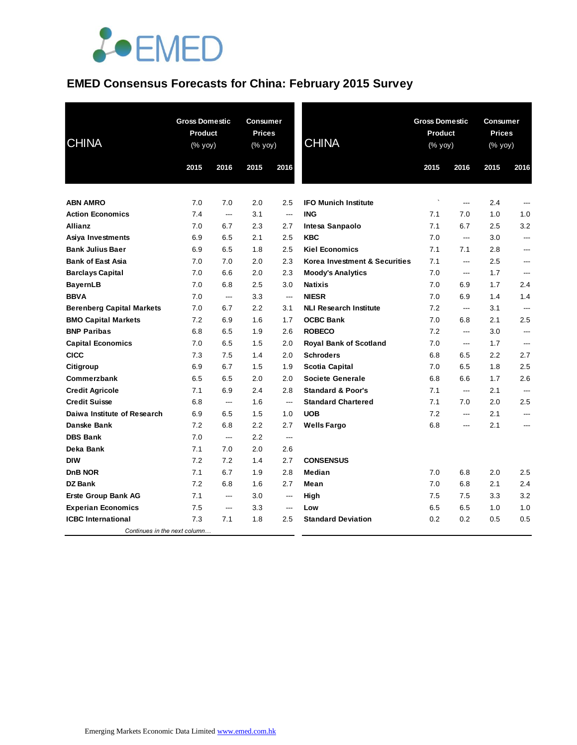

## **EMED Consensus Forecasts for China: February 2015 Survey**

| <b>CHINA</b>                     | <b>Gross Domestic</b><br><b>Product</b><br>(% yoy) |                | <b>Consumer</b><br><b>Prices</b><br>(% yoy) |                          | <b>CHINA</b>                  | <b>Gross Domestic</b><br><b>Product</b><br>(% yoy) |                | Consumer<br><b>Prices</b><br>(% yoy) |                |
|----------------------------------|----------------------------------------------------|----------------|---------------------------------------------|--------------------------|-------------------------------|----------------------------------------------------|----------------|--------------------------------------|----------------|
|                                  | 2015                                               | 2016           | 2015                                        | 2016                     |                               | 2015                                               | 2016           | 2015                                 | 2016           |
|                                  |                                                    |                |                                             |                          |                               |                                                    |                |                                      |                |
| <b>ABN AMRO</b>                  | 7.0                                                | 7.0            | 2.0                                         | 2.5                      | <b>IFO Munich Institute</b>   | $\cdot$                                            | ---            | 2.4                                  | ---            |
| <b>Action Economics</b>          | 7.4                                                | $\overline{a}$ | 3.1                                         | $---$                    | <b>ING</b>                    | 7.1                                                | 7.0            | 1.0                                  | 1.0            |
| <b>Allianz</b>                   | 7.0                                                | 6.7            | 2.3                                         | 2.7                      | Intesa Sanpaolo               | 7.1                                                | 6.7            | 2.5                                  | 3.2            |
| Asiya Investments                | 6.9                                                | 6.5            | 2.1                                         | 2.5                      | <b>KBC</b>                    | 7.0                                                | $---$          | 3.0                                  | ---            |
| <b>Bank Julius Baer</b>          | 6.9                                                | 6.5            | 1.8                                         | 2.5                      | <b>Kiel Economics</b>         | 7.1                                                | 7.1            | 2.8                                  | ---            |
| <b>Bank of East Asia</b>         | 7.0                                                | 7.0            | 2.0                                         | 2.3                      | Korea Investment & Securities | 7.1                                                | ---            | 2.5                                  | ---            |
| <b>Barclays Capital</b>          | 7.0                                                | 6.6            | 2.0                                         | 2.3                      | <b>Moody's Analytics</b>      | 7.0                                                | ---            | 1.7                                  | ---            |
| <b>BayernLB</b>                  | 7.0                                                | 6.8            | 2.5                                         | 3.0                      | <b>Natixis</b>                | 7.0                                                | 6.9            | 1.7                                  | 2.4            |
| <b>BBVA</b>                      | 7.0                                                | ---            | 3.3                                         | $---$                    | <b>NIESR</b>                  | 7.0                                                | 6.9            | 1.4                                  | 1.4            |
| <b>Berenberg Capital Markets</b> | 7.0                                                | 6.7            | 2.2                                         | 3.1                      | <b>NLI Research Institute</b> | 7.2                                                | $\overline{a}$ | 3.1                                  | $\overline{a}$ |
| <b>BMO Capital Markets</b>       | 7.2                                                | 6.9            | 1.6                                         | 1.7                      | <b>OCBC Bank</b>              | 7.0                                                | 6.8            | 2.1                                  | 2.5            |
| <b>BNP Paribas</b>               | 6.8                                                | 6.5            | 1.9                                         | 2.6                      | <b>ROBECO</b>                 | 7.2                                                | ---            | 3.0                                  | ---            |
| <b>Capital Economics</b>         | 7.0                                                | 6.5            | 1.5                                         | 2.0                      | <b>Royal Bank of Scotland</b> | 7.0                                                | ---            | 1.7                                  | ---            |
| <b>CICC</b>                      | 7.3                                                | 7.5            | 1.4                                         | 2.0                      | <b>Schroders</b>              | 6.8                                                | 6.5            | 2.2                                  | 2.7            |
| Citigroup                        | 6.9                                                | 6.7            | 1.5                                         | 1.9                      | <b>Scotia Capital</b>         | 7.0                                                | 6.5            | 1.8                                  | 2.5            |
| Commerzbank                      | 6.5                                                | 6.5            | 2.0                                         | 2.0                      | <b>Societe Generale</b>       | 6.8                                                | 6.6            | 1.7                                  | 2.6            |
| <b>Credit Agricole</b>           | 7.1                                                | 6.9            | 2.4                                         | 2.8                      | <b>Standard &amp; Poor's</b>  | 7.1                                                | ---            | 2.1                                  | ---            |
| <b>Credit Suisse</b>             | 6.8                                                | ---            | 1.6                                         | $\hspace{0.05cm} \ldots$ | <b>Standard Chartered</b>     | 7.1                                                | 7.0            | 2.0                                  | 2.5            |
| Daiwa Institute of Research      | 6.9                                                | 6.5            | 1.5                                         | 1.0                      | <b>UOB</b>                    | 7.2                                                | ---            | 2.1                                  | ---            |
| Danske Bank                      | 7.2                                                | 6.8            | 2.2                                         | 2.7                      | <b>Wells Fargo</b>            | 6.8                                                | $---$          | 2.1                                  | ---            |
| <b>DBS Bank</b>                  | 7.0                                                | ---            | 2.2                                         | $---$                    |                               |                                                    |                |                                      |                |
| Deka Bank                        | 7.1                                                | 7.0            | 2.0                                         | 2.6                      |                               |                                                    |                |                                      |                |
| <b>DIW</b>                       | 7.2                                                | 7.2            | 1.4                                         | 2.7                      | <b>CONSENSUS</b>              |                                                    |                |                                      |                |
| DnB NOR                          | 7.1                                                | 6.7            | 1.9                                         | 2.8                      | Median                        | 7.0                                                | 6.8            | 2.0                                  | 2.5            |
| <b>DZ Bank</b>                   | 7.2                                                | 6.8            | 1.6                                         | 2.7                      | Mean                          | 7.0                                                | 6.8            | 2.1                                  | 2.4            |
| <b>Erste Group Bank AG</b>       | 7.1                                                | ---            | 3.0                                         | $---$                    | High                          | 7.5                                                | 7.5            | 3.3                                  | 3.2            |
| <b>Experian Economics</b>        | 7.5                                                | ---            | 3.3                                         | $---$                    | Low                           | 6.5                                                | 6.5            | 1.0                                  | 1.0            |
| <b>ICBC</b> International        | 7.3                                                | 7.1            | 1.8                                         | 2.5                      | <b>Standard Deviation</b>     | 0.2                                                | 0.2            | 0.5                                  | 0.5            |
| Continues in the next column     |                                                    |                |                                             |                          |                               |                                                    |                |                                      |                |